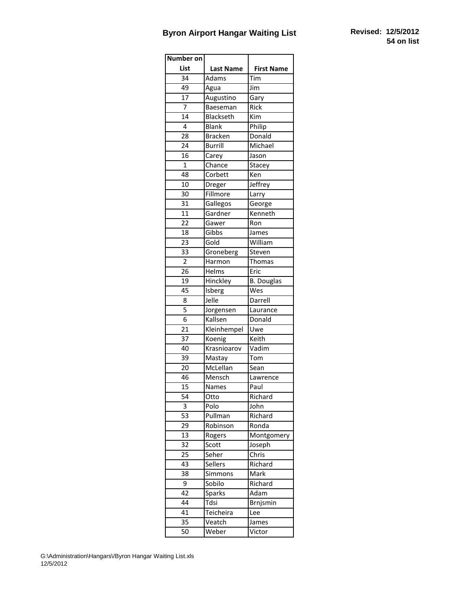## **Byron Airport Hangar Waiting List Revised: 12/5/2012**

| Number on       |                  |                   |
|-----------------|------------------|-------------------|
| List            | <b>Last Name</b> | <b>First Name</b> |
| 34              | Adams            | Tim               |
| 49              | Agua             | Jim               |
| $\overline{17}$ | Augustino        | Gary              |
| 7               | Baeseman         | Rick              |
| 14              | Blackseth        | Kim               |
| 4               | <b>Blank</b>     | Philip            |
| 28              | <b>Bracken</b>   | Donald            |
| 24              | <b>Burrill</b>   | Michael           |
| 16              | Carey            | Jason             |
| $\overline{1}$  | Chance           | Stacey            |
| $\overline{48}$ | Corbett          | Ken               |
| 10              | Dreger           | Jeffrey           |
| 30              | Fillmore         | Larry             |
| 31              | Gallegos         | George            |
| 11              | Gardner          | Kenneth           |
| 22              | Gawer            | Ron               |
| 18              | Gibbs            | James             |
| 23              | Gold             | William           |
| 33              | Groneberg        | Steven            |
| 2               | Harmon           | <b>Thomas</b>     |
| 26              | <b>Helms</b>     | Eric              |
| 19              | Hinckley         | <b>B.</b> Douglas |
| 45              | Isberg           | Wes               |
| 8               | Jelle            | Darrell           |
| 5               | Jorgensen        | Laurance          |
| 6               | Kallsen          | Donald            |
| 21              | Kleinhempel      | Uwe               |
| 37              | Koenig           | Keith             |
| 40              | Krasnioarov      | Vadim             |
| 39              | Mastay           | Tom               |
| 20              | McLellan         | Sean              |
| $\overline{46}$ | Mensch           | Lawrence          |
| 15              | Names            | Paul              |
| 54              | Otto             | Richard           |
| 3               | Polo             | John              |
| 53              | Pullman          | Richard           |
| 29              | Robinson         | Ronda             |
| 13              | Rogers           | Montgomery        |
| 32              | Scott            | Joseph            |
| 25              | Seher            | Chris             |
| 43              | <b>Sellers</b>   | Richard           |
| 38              | Simmons          | Mark              |
| 9               | Sobilo           | Richard           |
| 42              | Sparks           | Adam              |
| 44              | Tdsi             | Brnjsmin          |
| 41              | Teicheira        | Lee               |
| 35              | Veatch           | James             |
| 50              | Weber            | Victor            |